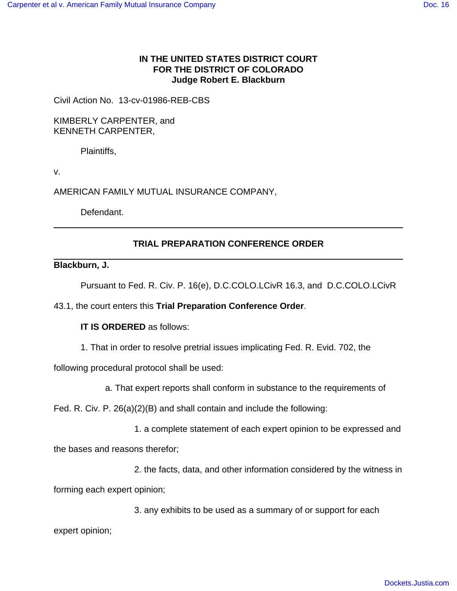# **IN THE UNITED STATES DISTRICT COURT FOR THE DISTRICT OF COLORADO Judge Robert E. Blackburn**

Civil Action No. 13-cv-01986-REB-CBS

KIMBERLY CARPENTER, and KENNETH CARPENTER,

Plaintiffs,

v.

AMERICAN FAMILY MUTUAL INSURANCE COMPANY,

Defendant.

# **TRIAL PREPARATION CONFERENCE ORDER**

## **Blackburn, J.**

Pursuant to Fed. R. Civ. P. 16(e), D.C.COLO.LCivR 16.3, and D.C.COLO.LCivR

## 43.1, the court enters this **Trial Preparation Conference Order**.

## **IT IS ORDERED** as follows:

1. That in order to resolve pretrial issues implicating Fed. R. Evid. 702, the

following procedural protocol shall be used:

a. That expert reports shall conform in substance to the requirements of

Fed. R. Civ. P. 26(a)(2)(B) and shall contain and include the following:

1. a complete statement of each expert opinion to be expressed and

the bases and reasons therefor;

2. the facts, data, and other information considered by the witness in

forming each expert opinion;

3. any exhibits to be used as a summary of or support for each

expert opinion;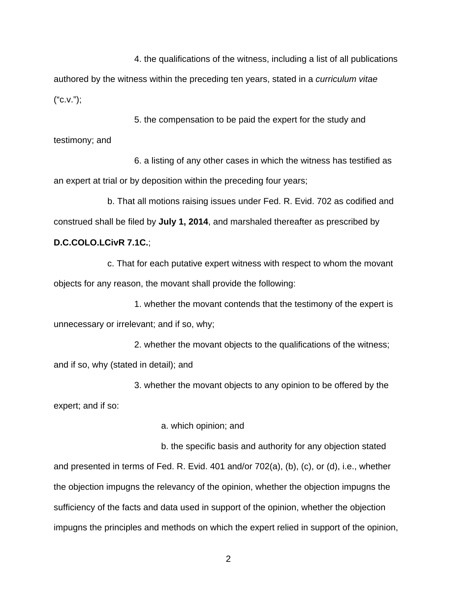4. the qualifications of the witness, including a list of all publications authored by the witness within the preceding ten years, stated in a curriculum vitae  $("C.V.");$ 

5. the compensation to be paid the expert for the study and testimony; and

6. a listing of any other cases in which the witness has testified as an expert at trial or by deposition within the preceding four years;

b. That all motions raising issues under Fed. R. Evid. 702 as codified and construed shall be filed by **July 1, 2014**, and marshaled thereafter as prescribed by

# **D.C.COLO.LCivR 7.1C.**;

c. That for each putative expert witness with respect to whom the movant objects for any reason, the movant shall provide the following:

1. whether the movant contends that the testimony of the expert is unnecessary or irrelevant; and if so, why;

2. whether the movant objects to the qualifications of the witness; and if so, why (stated in detail); and

3. whether the movant objects to any opinion to be offered by the

expert; and if so:

a. which opinion; and

b. the specific basis and authority for any objection stated and presented in terms of Fed. R. Evid. 401 and/or 702(a), (b), (c), or (d), i.e., whether the objection impugns the relevancy of the opinion, whether the objection impugns the sufficiency of the facts and data used in support of the opinion, whether the objection impugns the principles and methods on which the expert relied in support of the opinion,

2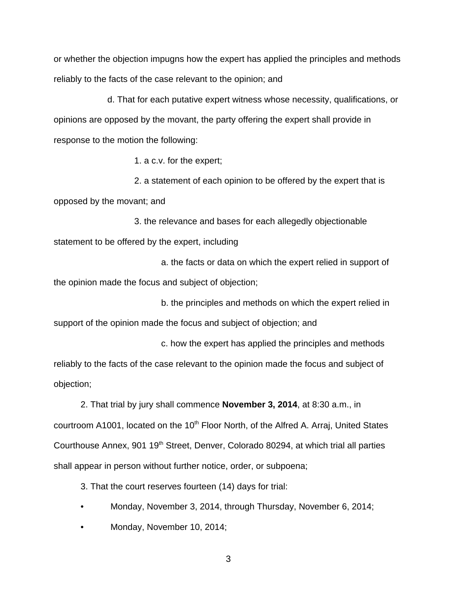or whether the objection impugns how the expert has applied the principles and methods reliably to the facts of the case relevant to the opinion; and

d. That for each putative expert witness whose necessity, qualifications, or opinions are opposed by the movant, the party offering the expert shall provide in response to the motion the following:

1. a c.v. for the expert;

2. a statement of each opinion to be offered by the expert that is opposed by the movant; and

3. the relevance and bases for each allegedly objectionable statement to be offered by the expert, including

a. the facts or data on which the expert relied in support of the opinion made the focus and subject of objection;

b. the principles and methods on which the expert relied in support of the opinion made the focus and subject of objection; and

c. how the expert has applied the principles and methods reliably to the facts of the case relevant to the opinion made the focus and subject of objection;

2. That trial by jury shall commence **November 3, 2014**, at 8:30 a.m., in courtroom A1001, located on the 10<sup>th</sup> Floor North, of the Alfred A. Arraj, United States Courthouse Annex, 901 19<sup>th</sup> Street, Denver, Colorado 80294, at which trial all parties shall appear in person without further notice, order, or subpoena;

3. That the court reserves fourteen (14) days for trial:

- Monday, November 3, 2014, through Thursday, November 6, 2014;
- Monday, November 10, 2014;

3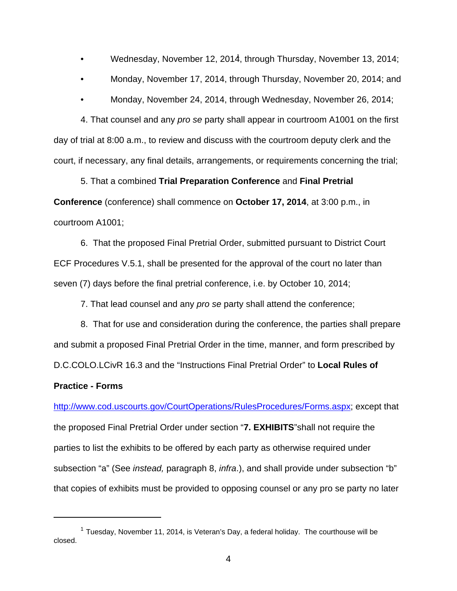- Wednesday, November 12, 2014, through Thursday, November 13, 2014;
- Monday, November 17, 2014, through Thursday, November 20, 2014; and
- Monday, November 24, 2014, through Wednesday, November 26, 2014;

4. That counsel and any pro se party shall appear in courtroom A1001 on the first day of trial at 8:00 a.m., to review and discuss with the courtroom deputy clerk and the court, if necessary, any final details, arrangements, or requirements concerning the trial;

5. That a combined **Trial Preparation Conference** and **Final Pretrial Conference** (conference) shall commence on **October 17, 2014**, at 3:00 p.m., in courtroom A1001;

6. That the proposed Final Pretrial Order, submitted pursuant to District Court ECF Procedures V.5.1, shall be presented for the approval of the court no later than seven (7) days before the final pretrial conference, i.e. by October 10, 2014;

7. That lead counsel and any pro se party shall attend the conference;

8. That for use and consideration during the conference, the parties shall prepare and submit a proposed Final Pretrial Order in the time, manner, and form prescribed by D.C.COLO.LCivR 16.3 and the "Instructions Final Pretrial Order" to **Local Rules of**

#### **Practice - Forms**

http://www.cod.uscourts.gov/CourtOperations/RulesProcedures/Forms.aspx; except that the proposed Final Pretrial Order under section "**7. EXHIBITS**"shall not require the parties to list the exhibits to be offered by each party as otherwise required under subsection "a" (See instead, paragraph 8, infra.), and shall provide under subsection "b" that copies of exhibits must be provided to opposing counsel or any pro se party no later

<sup>&</sup>lt;sup>1</sup> Tuesday, November 11, 2014, is Veteran's Day, a federal holiday. The courthouse will be closed.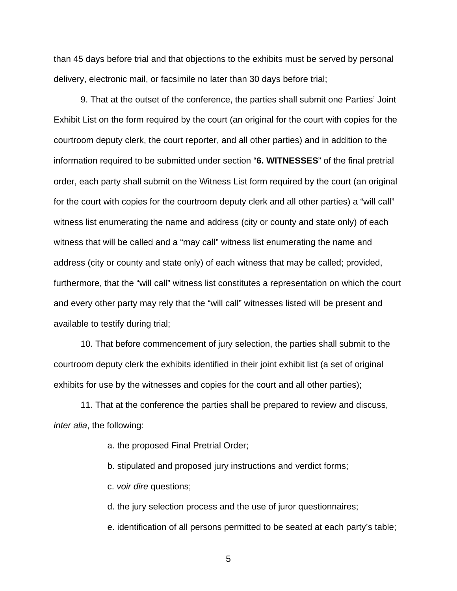than 45 days before trial and that objections to the exhibits must be served by personal delivery, electronic mail, or facsimile no later than 30 days before trial;

9. That at the outset of the conference, the parties shall submit one Parties' Joint Exhibit List on the form required by the court (an original for the court with copies for the courtroom deputy clerk, the court reporter, and all other parties) and in addition to the information required to be submitted under section "**6. WITNESSES**" of the final pretrial order, each party shall submit on the Witness List form required by the court (an original for the court with copies for the courtroom deputy clerk and all other parties) a "will call" witness list enumerating the name and address (city or county and state only) of each witness that will be called and a "may call" witness list enumerating the name and address (city or county and state only) of each witness that may be called; provided, furthermore, that the "will call" witness list constitutes a representation on which the court and every other party may rely that the "will call" witnesses listed will be present and available to testify during trial;

10. That before commencement of jury selection, the parties shall submit to the courtroom deputy clerk the exhibits identified in their joint exhibit list (a set of original exhibits for use by the witnesses and copies for the court and all other parties);

11. That at the conference the parties shall be prepared to review and discuss, inter alia, the following:

a. the proposed Final Pretrial Order;

b. stipulated and proposed jury instructions and verdict forms;

c. voir dire questions;

d. the jury selection process and the use of juror questionnaires;

e. identification of all persons permitted to be seated at each party's table;

5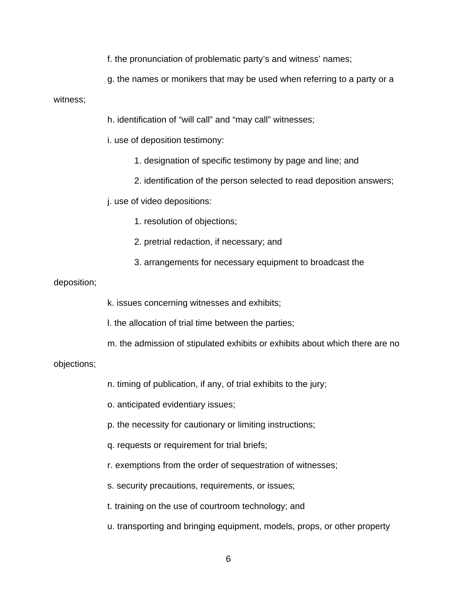f. the pronunciation of problematic party's and witness' names;

g. the names or monikers that may be used when referring to a party or a

#### witness;

h. identification of "will call" and "may call" witnesses;

i. use of deposition testimony:

1. designation of specific testimony by page and line; and

2. identification of the person selected to read deposition answers;

j. use of video depositions:

1. resolution of objections;

2. pretrial redaction, if necessary; and

3. arrangements for necessary equipment to broadcast the

#### deposition;

k. issues concerning witnesses and exhibits;

l. the allocation of trial time between the parties;

m. the admission of stipulated exhibits or exhibits about which there are no

objections;

n. timing of publication, if any, of trial exhibits to the jury;

o. anticipated evidentiary issues;

p. the necessity for cautionary or limiting instructions;

q. requests or requirement for trial briefs;

r. exemptions from the order of sequestration of witnesses;

s. security precautions, requirements, or issues;

t. training on the use of courtroom technology; and

u. transporting and bringing equipment, models, props, or other property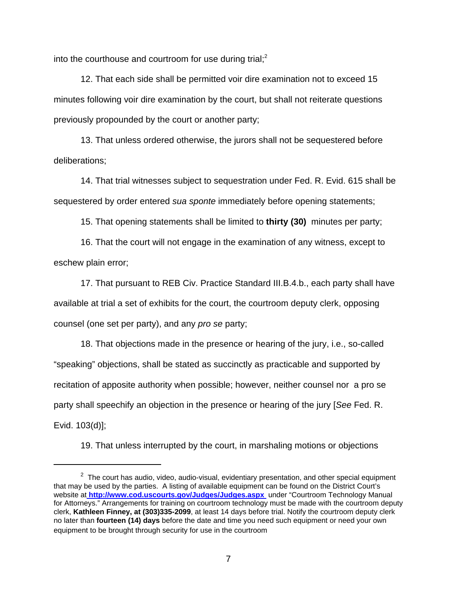into the courthouse and courtroom for use during trial; $2$ 

12. That each side shall be permitted voir dire examination not to exceed 15 minutes following voir dire examination by the court, but shall not reiterate questions previously propounded by the court or another party;

13. That unless ordered otherwise, the jurors shall not be sequestered before deliberations;

14. That trial witnesses subject to sequestration under Fed. R. Evid. 615 shall be sequestered by order entered sua sponte immediately before opening statements;

15. That opening statements shall be limited to **thirty (30)** minutes per party;

16. That the court will not engage in the examination of any witness, except to eschew plain error;

17. That pursuant to REB Civ. Practice Standard III.B.4.b., each party shall have available at trial a set of exhibits for the court, the courtroom deputy clerk, opposing counsel (one set per party), and any pro se party;

18. That objections made in the presence or hearing of the jury, i.e., so-called "speaking" objections, shall be stated as succinctly as practicable and supported by recitation of apposite authority when possible; however, neither counsel nor a pro se party shall speechify an objection in the presence or hearing of the jury [See Fed. R. Evid. 103(d)];

19. That unless interrupted by the court, in marshaling motions or objections

 $2$  The court has audio, video, audio-visual, evidentiary presentation, and other special equipment that may be used by the parties. A listing of available equipment can be found on the District Court's website at **http://www.cod.uscourts.gov/Judges/Judges.aspx** under "Courtroom Technology Manual for Attorneys." Arrangements for training on courtroom technology must be made with the courtroom deputy clerk, **Kathleen Finney, at (303)335-2099**, at least 14 days before trial. Notify the courtroom deputy clerk no later than **fourteen (14) days** before the date and time you need such equipment or need your own equipment to be brought through security for use in the courtroom